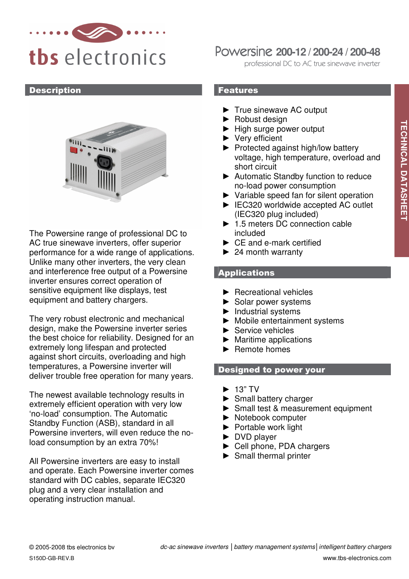

### **Description**



The Powersine range of professional DC to AC true sinewave inverters, offer superior performance for a wide range of applications. Unlike many other inverters, the very clean and interference free output of a Powersine inverter ensures correct operation of sensitive equipment like displays, test equipment and battery chargers.

The very robust electronic and mechanical design, make the Powersine inverter series the best choice for reliability. Designed for an extremely long lifespan and protected against short circuits, overloading and high temperatures, a Powersine inverter will deliver trouble free operation for many years.

The newest available technology results in extremely efficient operation with very low 'no-load' consumption. The Automatic Standby Function (ASB), standard in all Powersine inverters, will even reduce the noload consumption by an extra 70%!

All Powersine inverters are easy to install and operate. Each Powersine inverter comes standard with DC cables, separate IEC320 plug and a very clear installation and operating instruction manual.

# Powersine **200-12 / 200-24 / 200-48**

professional DC to AC true sinewave inverter

## Features

- ► True sinewave AC output
- ► Robust design
- ► High surge power output
- ► Very efficient
- ► Protected against high/low battery voltage, high temperature, overload and short circuit
- ► Automatic Standby function to reduce no-load power consumption
- ► Variable speed fan for silent operation
- ► IEC320 worldwide accepted AC outlet (IEC320 plug included)
- ► 1.5 meters DC connection cable included
- ► CE and e-mark certified
- $\blacktriangleright$  24 month warranty

# **Applications**

- ► Recreational vehicles
- ► Solar power systems
- ► Industrial systems
- ► Mobile entertainment systems
- ► Service vehicles
- $\blacktriangleright$  Maritime applications
- ► Remote homes

## Designed to power your

- $\blacktriangleright$  13" TV
- ► Small battery charger
- ► Small test & measurement equipment
- ► Notebook computer
- ► Portable work light
- ► DVD player
- ► Cell phone, PDA chargers
- ► Small thermal printer